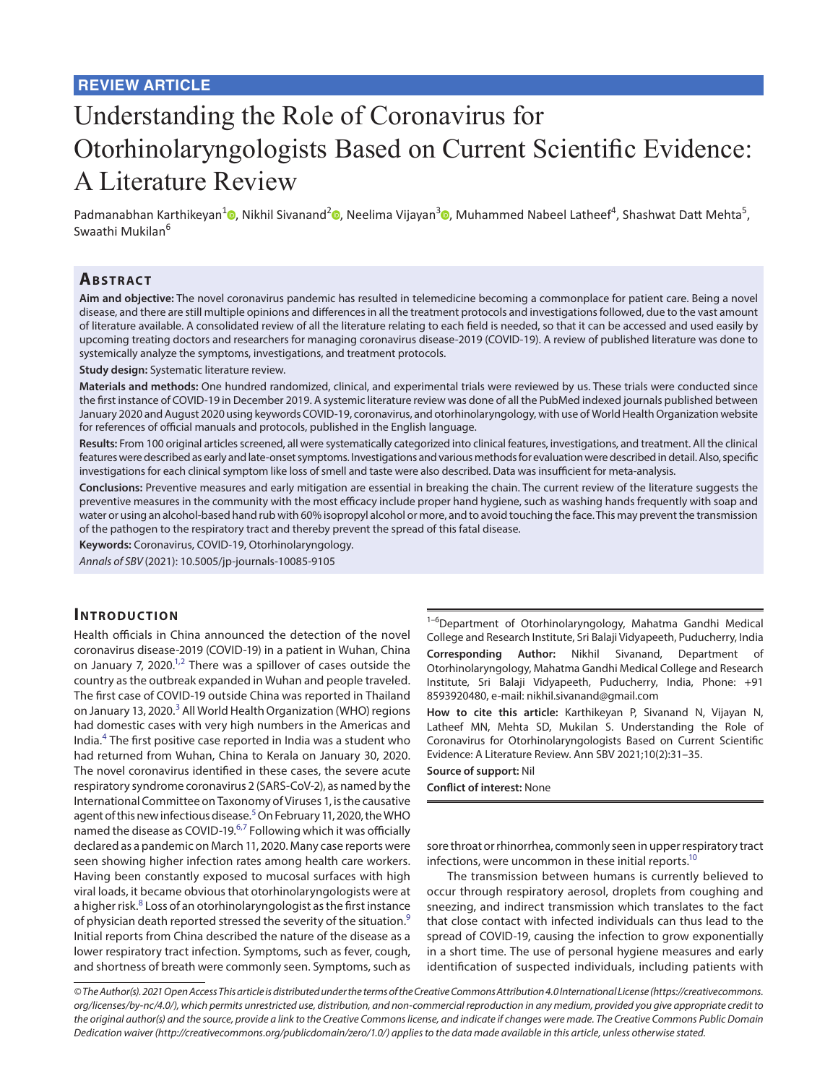# Understanding the Role of Coronavirus for Otorhinolaryngologists Based on Current Scientific Evidence: A Literature Review

Padmanabhan Karthikeyan<sup>1</sup> [,](https://orcid.org/0000-0001-8699-1965) Nikhil Sivanand<sup>2</sup> , Neelima Vijayan<sup>3</sup> , Muhammed Nabeel Latheef<sup>4</sup>, Shashwat Datt Mehta<sup>5</sup>, Swaathi Mukilan<sup>6</sup>

## **ABSTRACT**

**Aim and objective:** The novel coronavirus pandemic has resulted in telemedicine becoming a commonplace for patient care. Being a novel disease, and there are still multiple opinions and differences in all the treatment protocols and investigations followed, due to the vast amount of literature available. A consolidated review of all the literature relating to each field is needed, so that it can be accessed and used easily by upcoming treating doctors and researchers for managing coronavirus disease-2019 (COVID-19). A review of published literature was done to systemically analyze the symptoms, investigations, and treatment protocols.

**Study design:** Systematic literature review.

**Materials and methods:** One hundred randomized, clinical, and experimental trials were reviewed by us. These trials were conducted since the first instance of COVID-19 in December 2019. A systemic literature review was done of all the PubMed indexed journals published between January 2020 and August 2020 using keywords COVID-19, coronavirus, and otorhinolaryngology, with use of World Health Organization website for references of official manuals and protocols, published in the English language.

**Results:** From 100 original articles screened, all were systematically categorized into clinical features, investigations, and treatment. All the clinical features were described as early and late-onset symptoms. Investigations and various methods for evaluation were described in detail. Also, specific investigations for each clinical symptom like loss of smell and taste were also described. Data was insufficient for meta-analysis.

**Conclusions:** Preventive measures and early mitigation are essential in breaking the chain. The current review of the literature suggests the preventive measures in the community with the most efficacy include proper hand hygiene, such as washing hands frequently with soap and water or using an alcohol-based hand rub with 60% isopropyl alcohol or more, and to avoid touching the face. This may prevent the transmission of the pathogen to the respiratory tract and thereby prevent the spread of this fatal disease.

**Keywords:** Coronavirus, COVID-19, Otorhinolaryngology.

*Annals of SBV* (2021): 10.5005/jp-journals-10085-9105

#### **INTRODUCTION**

Health officials in China announced the detection of the novel coronavirus disease-2019 (COVID-19) in a patient in Wuhan, China on January 7, [2](#page-3-1)020. $^{1,2}$  There was a spillover of cases outside the country as the outbreak expanded in Wuhan and people traveled. The first case of COVID-19 outside China was reported in Thailand on January 1[3](#page-3-2), 2020.<sup>3</sup> All World Health Organization (WHO) regions had domestic cases with very high numbers in the Americas and India.[4](#page-3-3) The first positive case reported in India was a student who had returned from Wuhan, China to Kerala on January 30, 2020. The novel coronavirus identified in these cases, the severe acute respiratory syndrome coronavirus 2 (SARS-CoV-2), as named by the International Committee on Taxonomy of Viruses 1, is the causative agent of this new infectious disease.<sup>[5](#page-3-4)</sup> On February 11, 2020, the WHO named the disease as COVID-19.<sup>[6](#page-3-5)[,7](#page-3-6)</sup> Following which it was officially declared as a pandemic on March 11, 2020. Many case reports were seen showing higher infection rates among health care workers. Having been constantly exposed to mucosal surfaces with high viral loads, it became obvious that otorhinolaryngologists were at a higher risk.<sup>[8](#page-3-7)</sup> Loss of an otorhinolaryngologist as the first instance of physician death reported stressed the severity of the situation.<sup>[9](#page-3-8)</sup> Initial reports from China described the nature of the disease as a lower respiratory tract infection. Symptoms, such as fever, cough, and shortness of breath were commonly seen. Symptoms, such as

<sup>1-6</sup>Department of Otorhinolaryngology, Mahatma Gandhi Medical College and Research Institute, Sri Balaji Vidyapeeth, Puducherry, India **Corresponding Author:** Nikhil Sivanand, Department Otorhinolaryngology, Mahatma Gandhi Medical College and Research Institute, Sri Balaji Vidyapeeth, Puducherry, India, Phone: +91 8593920480, e-mail: nikhil.sivanand@gmail.com

**How to cite this article:** Karthikeyan P, Sivanand N, Vijayan N, Latheef MN, Mehta SD, Mukilan S. Understanding the Role of Coronavirus for Otorhinolaryngologists Based on Current Scientific Evidence: A Literature Review. Ann SBV 2021;10(2):31–35.

**Source of support:** Nil

**Conflict of interest:** None

sore throat or rhinorrhea, commonly seen in upper respiratory tract infections, were uncommon in these initial reports.<sup>10</sup>

The transmission between humans is currently believed to occur through respiratory aerosol, droplets from coughing and sneezing, and indirect transmission which translates to the fact that close contact with infected individuals can thus lead to the spread of COVID-19, causing the infection to grow exponentially in a short time. The use of personal hygiene measures and early identification of suspected individuals, including patients with

*© The Author(s). 2021 Open Access This article is distributed under the terms of the Creative Commons Attribution 4.0 International License ([https://creativecommons.](https://creativecommons. org/licenses/by-nc/4.0/)  [org/licenses/by-nc/4.0/](https://creativecommons. org/licenses/by-nc/4.0/)), which permits unrestricted use, distribution, and non-commercial reproduction in any medium, provided you give appropriate credit to the original author(s) and the source, provide a link to the Creative Commons license, and indicate if changes were made. The Creative Commons Public Domain Dedication waiver ([http://creativecommons.org/publicdomain/zero/1.0/\)](http://creativecommons.org/publicdomain/zero/1.0/) applies to the data made available in this article, unless otherwise stated.*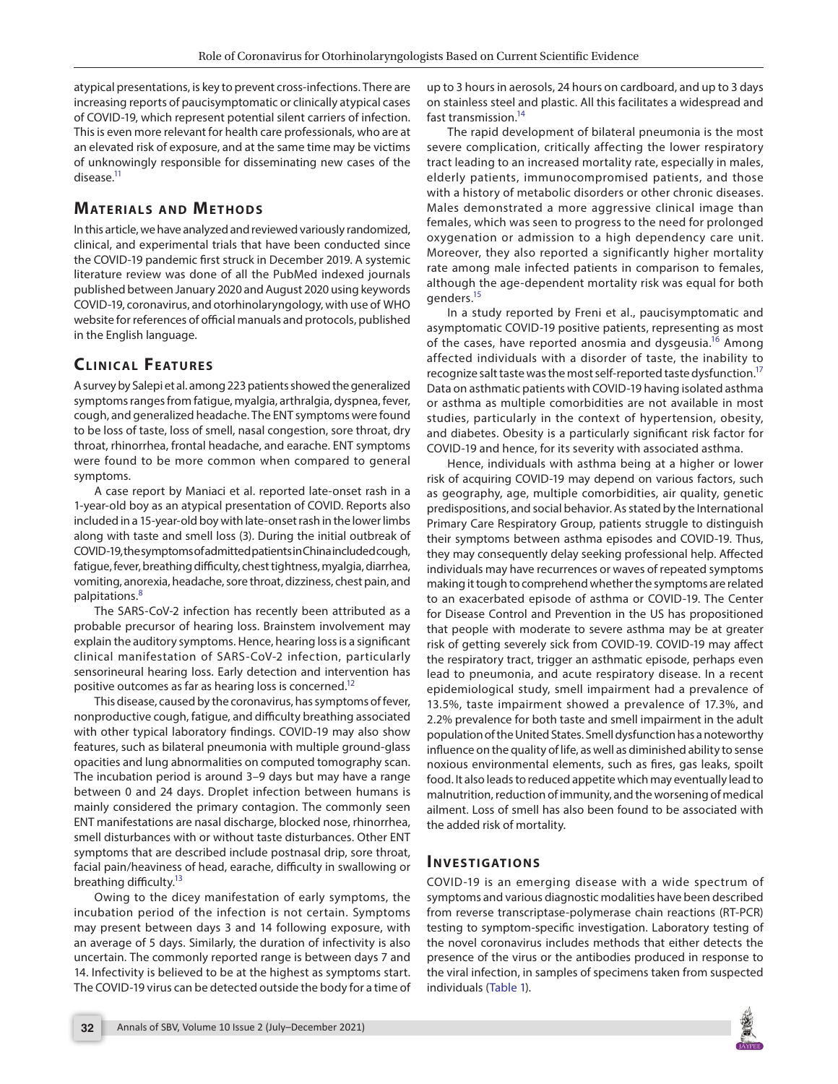atypical presentations, is key to prevent cross-infections. There are increasing reports of paucisymptomatic or clinically atypical cases of COVID-19, which represent potential silent carriers of infection. This is even more relevant for health care professionals, who are at an elevated risk of exposure, and at the same time may be victims of unknowingly responsible for disseminating new cases of the disease.<sup>11</sup>

# **MATERIALS AND METHODS**

In this article, we have analyzed and reviewed variously randomized, clinical, and experimental trials that have been conducted since the COVID-19 pandemic first struck in December 2019. A systemic literature review was done of all the PubMed indexed journals published between January 2020 and August 2020 using keywords COVID-19, coronavirus, and otorhinolaryngology, with use of WHO website for references of official manuals and protocols, published in the English language.

# **CLINICAL FEATURES**

A survey by Salepi et al. among 223 patients showed the generalized symptoms ranges from fatigue, myalgia, arthralgia, dyspnea, fever, cough, and generalized headache. The ENT symptoms were found to be loss of taste, loss of smell, nasal congestion, sore throat, dry throat, rhinorrhea, frontal headache, and earache. ENT symptoms were found to be more common when compared to general symptoms.

A case report by Maniaci et al. reported late-onset rash in a 1-year-old boy as an atypical presentation of COVID. Reports also included in a 15-year-old boy with late-onset rash in the lower limbs along with taste and smell loss (3). During the initial outbreak of COVID-19, the symptoms of admitted patients in China included cough, fatigue, fever, breathing difficulty, chest tightness, myalgia, diarrhea, vomiting, anorexia, headache, sore throat, dizziness, chest pain, and palpitations.[8](#page-3-7)

The SARS-CoV-2 infection has recently been attributed as a probable precursor of hearing loss. Brainstem involvement may explain the auditory symptoms. Hence, hearing loss is a significant clinical manifestation of SARS-CoV-2 infection, particularly sensorineural hearing loss. Early detection and intervention has positive outcomes as far as hearing loss is concerned.<sup>12</sup>

This disease, caused by the coronavirus, has symptoms of fever, nonproductive cough, fatigue, and difficulty breathing associated with other typical laboratory findings. COVID-19 may also show features, such as bilateral pneumonia with multiple ground-glass opacities and lung abnormalities on computed tomography scan. The incubation period is around 3–9 days but may have a range between 0 and 24 days. Droplet infection between humans is mainly considered the primary contagion. The commonly seen ENT manifestations are nasal discharge, blocked nose, rhinorrhea, smell disturbances with or without taste disturbances. Other ENT symptoms that are described include postnasal drip, sore throat, facial pain/heaviness of head, earache, difficulty in swallowing or breathing difficulty.<sup>13</sup>

Owing to the dicey manifestation of early symptoms, the incubation period of the infection is not certain. Symptoms may present between days 3 and 14 following exposure, with an average of 5 days. Similarly, the duration of infectivity is also uncertain. The commonly reported range is between days 7 and 14. Infectivity is believed to be at the highest as symptoms start. The COVID-19 virus can be detected outside the body for a time of up to 3 hours in aerosols, 24 hours on cardboard, and up to 3 days on stainless steel and plastic. All this facilitates a widespread and fast transmission.<sup>14</sup>

The rapid development of bilateral pneumonia is the most severe complication, critically affecting the lower respiratory tract leading to an increased mortality rate, especially in males, elderly patients, immunocompromised patients, and those with a history of metabolic disorders or other chronic diseases. Males demonstrated a more aggressive clinical image than females, which was seen to progress to the need for prolonged oxygenation or admission to a high dependency care unit. Moreover, they also reported a significantly higher mortality rate among male infected patients in comparison to females, although the age-dependent mortality risk was equal for both genders.<sup>15</sup>

In a study reported by Freni et al., paucisymptomatic and asymptomatic COVID-19 positive patients, representing as most of the cases, have reported anosmia and dysgeusia.<sup>[16](#page-3-15)</sup> Among affected individuals with a disorder of taste, the inability to recognize salt taste was the most self-reported taste dysfunction.<sup>17</sup> Data on asthmatic patients with COVID-19 having isolated asthma or asthma as multiple comorbidities are not available in most studies, particularly in the context of hypertension, obesity, and diabetes. Obesity is a particularly significant risk factor for COVID-19 and hence, for its severity with associated asthma.

Hence, individuals with asthma being at a higher or lower risk of acquiring COVID-19 may depend on various factors, such as geography, age, multiple comorbidities, air quality, genetic predispositions, and social behavior. As stated by the International Primary Care Respiratory Group, patients struggle to distinguish their symptoms between asthma episodes and COVID-19. Thus, they may consequently delay seeking professional help. Affected individuals may have recurrences or waves of repeated symptoms making it tough to comprehend whether the symptoms are related to an exacerbated episode of asthma or COVID-19. The Center for Disease Control and Prevention in the US has propositioned that people with moderate to severe asthma may be at greater risk of getting severely sick from COVID-19. COVID-19 may affect the respiratory tract, trigger an asthmatic episode, perhaps even lead to pneumonia, and acute respiratory disease. In a recent epidemiological study, smell impairment had a prevalence of 13.5%, taste impairment showed a prevalence of 17.3%, and 2.2% prevalence for both taste and smell impairment in the adult population of the United States. Smell dysfunction has a noteworthy influence on the quality of life, as well as diminished ability to sense noxious environmental elements, such as fires, gas leaks, spoilt food. It also leads to reduced appetite which may eventually lead to malnutrition, reduction of immunity, and the worsening of medical ailment. Loss of smell has also been found to be associated with the added risk of mortality.

## **In v e s tigatio n s**

COVID-19 is an emerging disease with a wide spectrum of symptoms and various diagnostic modalities have been described from reverse transcriptase-polymerase chain reactions (RT-PCR) testing to symptom-specific investigation. Laboratory testing of the novel coronavirus includes methods that either detects the presence of the virus or the antibodies produced in response to the viral infection, in samples of specimens taken from suspected individuals ([Table 1\)](#page-2-0).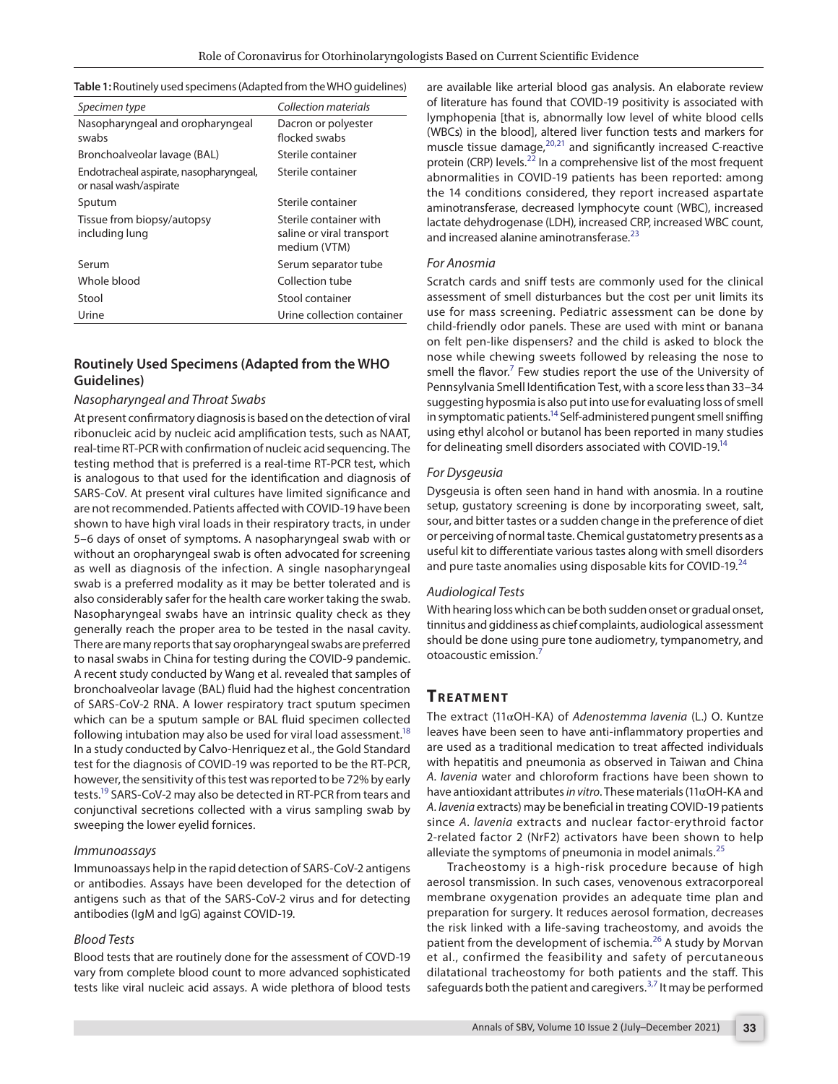<span id="page-2-0"></span>

| Table 1: Routinely used specimens (Adapted from the WHO guidelines) |  |  |
|---------------------------------------------------------------------|--|--|
|---------------------------------------------------------------------|--|--|

| Specimen type                                                    | Collection materials                      |
|------------------------------------------------------------------|-------------------------------------------|
| Nasopharyngeal and oropharyngeal                                 | Dacron or polyester                       |
| swabs                                                            | flocked swabs                             |
| Bronchoalveolar lavage (BAL)                                     | Sterile container                         |
| Endotracheal aspirate, nasopharyngeal,<br>or nasal wash/aspirate | Sterile container                         |
| Sputum                                                           | Sterile container                         |
| Tissue from biopsy/autopsy                                       | Sterile container with                    |
| including lung                                                   | saline or viral transport<br>medium (VTM) |
| Serum                                                            | Serum separator tube                      |
| Whole blood                                                      | Collection tube                           |
| Stool                                                            | Stool container                           |
| Urine                                                            | Urine collection container                |
|                                                                  |                                           |

## **Routinely Used Specimens (Adapted from the WHO Guidelines)**

#### *Nasopharyngeal and Throat Swabs*

At present confirmatory diagnosis is based on the detection of viral ribonucleic acid by nucleic acid amplification tests, such as NAAT, real-time RT-PCR with confirmation of nucleic acid sequencing. The testing method that is preferred is a real-time RT-PCR test, which is analogous to that used for the identification and diagnosis of SARS-CoV. At present viral cultures have limited significance and are not recommended. Patients affected with COVID-19 have been shown to have high viral loads in their respiratory tracts, in under 5–6 days of onset of symptoms. A nasopharyngeal swab with or without an oropharyngeal swab is often advocated for screening as well as diagnosis of the infection. A single nasopharyngeal swab is a preferred modality as it may be better tolerated and is also considerably safer for the health care worker taking the swab. Nasopharyngeal swabs have an intrinsic quality check as they generally reach the proper area to be tested in the nasal cavity. There are many reports that say oropharyngeal swabs are preferred to nasal swabs in China for testing during the COVID-9 pandemic. A recent study conducted by Wang et al. revealed that samples of bronchoalveolar lavage (BAL) fluid had the highest concentration of SARS-CoV-2 RNA. A lower respiratory tract sputum specimen which can be a sputum sample or BAL fluid specimen collected following intubation may also be used for viral load assessment.<sup>18</sup> In a study conducted by Calvo-Henriquez et al., the Gold Standard test for the diagnosis of COVID-19 was reported to be the RT-PCR, however, the sensitivity of this test was reported to be 72% by early tests[.19](#page-4-8) SARS-CoV-2 may also be detected in RT-PCR from tears and conjunctival secretions collected with a virus sampling swab by sweeping the lower eyelid fornices.

#### *Immunoassays*

Immunoassays help in the rapid detection of SARS-CoV-2 antigens or antibodies. Assays have been developed for the detection of antigens such as that of the SARS-CoV-2 virus and for detecting antibodies (IgM and IgG) against COVID-19.

#### *Blood Tests*

Blood tests that are routinely done for the assessment of COVD-19 vary from complete blood count to more advanced sophisticated tests like viral nucleic acid assays. A wide plethora of blood tests are available like arterial blood gas analysis. An elaborate review of literature has found that COVID-19 positivity is associated with lymphopenia [that is, abnormally low level of white blood cells (WBCs) in the blood], altered liver function tests and markers for muscle tissue damage, $20,21$  $20,21$  $20,21$  and significantly increased C-reactive protein (CRP) levels.<sup>22</sup> In a comprehensive list of the most frequent abnormalities in COVID-19 patients has been reported: among the 14 conditions considered, they report increased aspartate aminotransferase, decreased lymphocyte count (WBC), increased lactate dehydrogenase (LDH), increased CRP, increased WBC count, and increased alanine aminotransferase.<sup>[23](#page-4-3)</sup>

#### *For Anosmia*

Scratch cards and sniff tests are commonly used for the clinical assessment of smell disturbances but the cost per unit limits its use for mass screening. Pediatric assessment can be done by child-friendly odor panels. These are used with mint or banana on felt pen-like dispensers? and the child is asked to block the nose while chewing sweets followed by releasing the nose to smell the flavor.<sup>[7](#page-3-6)</sup> Few studies report the use of the University of Pennsylvania Smell Identification Test, with a score less than 33–34 suggesting hyposmia is also put into use for evaluating loss of smell in symptomatic patients.<sup>14</sup> Self-administered pungent smell sniffing using ethyl alcohol or butanol has been reported in many studies for delineating smell disorders associated with COVID-19.<sup>14</sup>

#### *For Dysgeusia*

Dysgeusia is often seen hand in hand with anosmia. In a routine setup, gustatory screening is done by incorporating sweet, salt, sour, and bitter tastes or a sudden change in the preference of diet or perceiving of normal taste. Chemical gustatometry presents as a useful kit to differentiate various tastes along with smell disorders and pure taste anomalies using disposable kits for COVID-19.<sup>[24](#page-4-4)</sup>

#### *Audiological Tests*

With hearing loss which can be both sudden onset or gradual onset, tinnitus and giddiness as chief complaints, audiological assessment should be done using pure tone audiometry, tympanometry, and otoacoustic emission[.7](#page-3-6)

## **TREATMENT**

The extract (11αOH-KA) of *Adenostemma lavenia* (L.) O. Kuntze leaves have been seen to have anti-inflammatory properties and are used as a traditional medication to treat affected individuals with hepatitis and pneumonia as observed in Taiwan and China *A. lavenia* water and chloroform fractions have been shown to have antioxidant attributes *in vitro*. These materials (11αOH-KA and *A. lavenia* extracts) may be beneficial in treating COVID-19 patients since *A. lavenia* extracts and nuclear factor-erythroid factor 2-related factor 2 (NrF2) activators have been shown to help alleviate the symptoms of pneumonia in model animals.<sup>[25](#page-4-5)</sup>

Tracheostomy is a high-risk procedure because of high aerosol transmission. In such cases, venovenous extracorporeal membrane oxygenation provides an adequate time plan and preparation for surgery. It reduces aerosol formation, decreases the risk linked with a life-saving tracheostomy, and avoids the patient from the development of ischemia.<sup>26</sup> A study by Morvan et al., confirmed the feasibility and safety of percutaneous dilatational tracheostomy for both patients and the staff. This safeguards both the patient and caregivers.<sup>[3](#page-3-2),[7](#page-3-6)</sup> It may be performed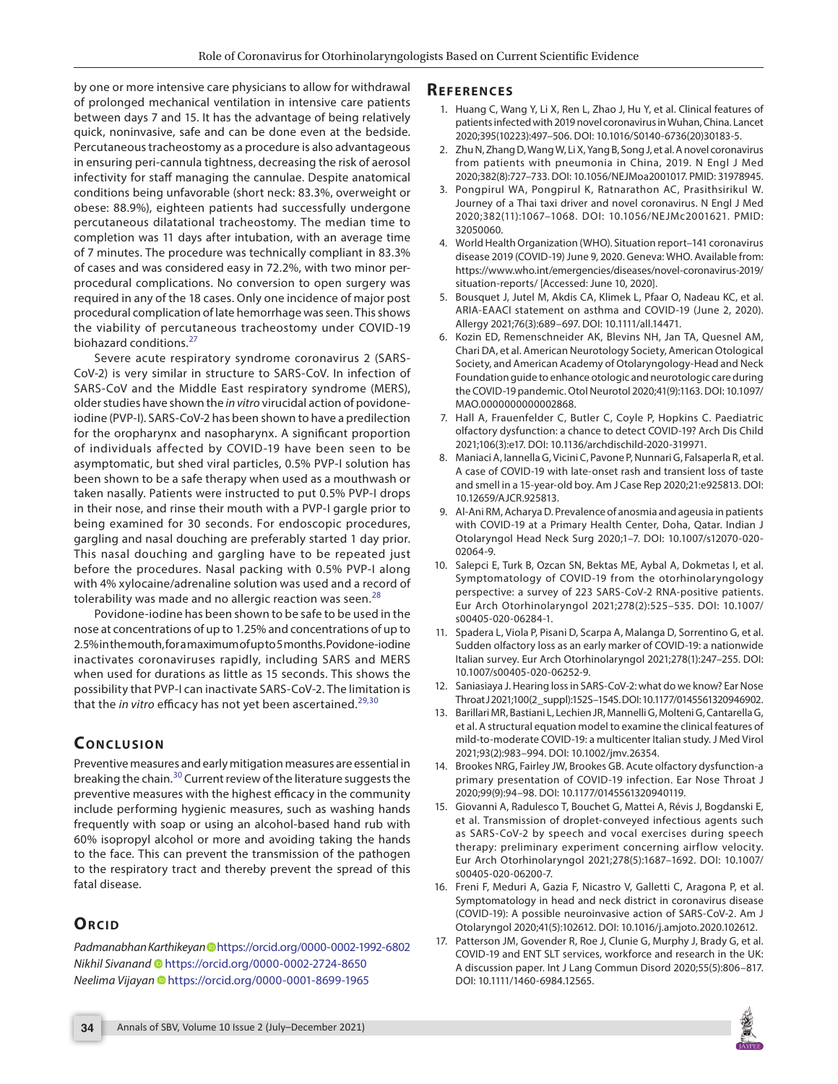by one or more intensive care physicians to allow for withdrawal of prolonged mechanical ventilation in intensive care patients between days 7 and 15. It has the advantage of being relatively quick, noninvasive, safe and can be done even at the bedside. Percutaneous tracheostomy as a procedure is also advantageous in ensuring peri-cannula tightness, decreasing the risk of aerosol infectivity for staff managing the cannulae. Despite anatomical conditions being unfavorable (short neck: 83.3%, overweight or obese: 88.9%), eighteen patients had successfully undergone percutaneous dilatational tracheostomy. The median time to completion was 11 days after intubation, with an average time of 7 minutes. The procedure was technically compliant in 83.3% of cases and was considered easy in 72.2%, with two minor perprocedural complications. No conversion to open surgery was required in any of the 18 cases. Only one incidence of major post procedural complication of late hemorrhage was seen. This shows the viability of percutaneous tracheostomy under COVID-19 biohazard conditions.<sup>[27](#page-4-9)</sup>

Severe acute respiratory syndrome coronavirus 2 (SARS-CoV-2) is very similar in structure to SARS-CoV. In infection of SARS-CoV and the Middle East respiratory syndrome (MERS), older studies have shown the *in vitro* virucidal action of povidoneiodine (PVP-I). SARS-CoV-2 has been shown to have a predilection for the oropharynx and nasopharynx. A significant proportion of individuals affected by COVID-19 have been seen to be asymptomatic, but shed viral particles, 0.5% PVP-I solution has been shown to be a safe therapy when used as a mouthwash or taken nasally. Patients were instructed to put 0.5% PVP-I drops in their nose, and rinse their mouth with a PVP-I gargle prior to being examined for 30 seconds. For endoscopic procedures, gargling and nasal douching are preferably started 1 day prior. This nasal douching and gargling have to be repeated just before the procedures. Nasal packing with 0.5% PVP-I along with 4% xylocaine/adrenaline solution was used and a record of tolerability was made and no allergic reaction was seen.<sup>[28](#page-4-10)</sup>

Povidone-iodine has been shown to be safe to be used in the nose at concentrations of up to 1.25% and concentrations of up to 2.5% in the mouth, for a maximum of up to 5 months. Povidone-iodine inactivates coronaviruses rapidly, including SARS and MERS when used for durations as little as 15 seconds. This shows the possibility that PVP-I can inactivate SARS-CoV-2. The limitation is that the *in vitro* efficacy has not yet been ascertained.<sup>[29](#page-4-11),[30](#page-4-12)</sup>

# **CONCLUSION**

Preventive measures and early mitigation measures are essential in breaking the chain.[30](#page-4-12) Current review of the literature suggests the preventive measures with the highest efficacy in the community include performing hygienic measures, such as washing hands frequently with soap or using an alcohol-based hand rub with 60% isopropyl alcohol or more and avoiding taking the hands to the face. This can prevent the transmission of the pathogen to the respiratory tract and thereby prevent the spread of this fatal disease.

# **ORCID**

*Padmanabhan Karthikeyan* [h](https://orcid.org/0000-0002-1992-6802
)ttps://orcid.org/0000-0002-1992-6802 *Nikhil Sivanand* [h](https://orcid.org/0000-0002-2724-8650)ttps://orcid.org/0000-0002-2724-8650 *Neelima Vijayan* [h](https://orcid.org/0000-0001-8699-1965)ttps://orcid.org/0000-0001-8699-1965

### **Refe r e n c e s**

- <span id="page-3-0"></span>1. Huang C, Wang Y, Li X, Ren L, Zhao J, Hu Y, et al. Clinical features of patients infected with 2019 novel coronavirus in Wuhan, China. Lancet 2020;395(10223):497–506. DOI: 10.1016/S0140-6736(20)30183-5.
- <span id="page-3-1"></span>2. Zhu N, Zhang D, Wang W, Li X, Yang B, Song J, et al. A novel coronavirus from patients with pneumonia in China, 2019. N Engl J Med 2020;382(8):727–733. DOI: 10.1056/NEJMoa2001017. PMID: 31978945.
- <span id="page-3-2"></span>3. Pongpirul WA, Pongpirul K, Ratnarathon AC, Prasithsirikul W. Journey of a Thai taxi driver and novel coronavirus. N Engl J Med 2020;382(11):1067–1068. DOI: 10.1056/NEJMc2001621. PMID: 32050060.
- <span id="page-3-3"></span>4. World Health Organization (WHO). Situation report–141 coronavirus disease 2019 (COVID-19) June 9, 2020. Geneva: WHO. Available from: https://www.who.int/emergencies/diseases/novel-coronavirus-2019/ situation-reports/ [Accessed: June 10, 2020].
- <span id="page-3-4"></span>5. Bousquet J, Jutel M, Akdis CA, Klimek L, Pfaar O, Nadeau KC, et al. ARIA-EAACI statement on asthma and COVID-19 (June 2, 2020). Allergy 2021;76(3):689–697. DOI: 10.1111/all.14471.
- <span id="page-3-5"></span>6. Kozin ED, Remenschneider AK, Blevins NH, Jan TA, Quesnel AM, Chari DA, et al. American Neurotology Society, American Otological Society, and American Academy of Otolaryngology-Head and Neck Foundation guide to enhance otologic and neurotologic care during the COVID-19 pandemic. Otol Neurotol 2020;41(9):1163. DOI: 10.1097/ MAO.0000000000002868.
- <span id="page-3-6"></span>7. Hall A, Frauenfelder C, Butler C, Coyle P, Hopkins C. Paediatric olfactory dysfunction: a chance to detect COVID-19? Arch Dis Child 2021;106(3):e17. DOI: 10.1136/archdischild-2020-319971.
- <span id="page-3-7"></span>8. Maniaci A, Iannella G, Vicini C, Pavone P, Nunnari G, Falsaperla R, et al. A case of COVID-19 with late-onset rash and transient loss of taste and smell in a 15-year-old boy. Am J Case Rep 2020;21:e925813. DOI: 10.12659/AJCR.925813.
- <span id="page-3-8"></span>9. Al-Ani RM, Acharya D. Prevalence of anosmia and ageusia in patients with COVID-19 at a Primary Health Center, Doha, Qatar. Indian J Otolaryngol Head Neck Surg 2020;1–7. DOI: 10.1007/s12070-020- 02064-9.
- <span id="page-3-9"></span>10. Salepci E, Turk B, Ozcan SN, Bektas ME, Aybal A, Dokmetas I, et al. Symptomatology of COVID-19 from the otorhinolaryngology perspective: a survey of 223 SARS-CoV-2 RNA-positive patients. Eur Arch Otorhinolaryngol 2021;278(2):525–535. DOI: 10.1007/ s00405-020-06284-1.
- <span id="page-3-10"></span>11. Spadera L, Viola P, Pisani D, Scarpa A, Malanga D, Sorrentino G, et al. Sudden olfactory loss as an early marker of COVID-19: a nationwide Italian survey. Eur Arch Otorhinolaryngol 2021;278(1):247–255. DOI: 10.1007/s00405-020-06252-9.
- <span id="page-3-11"></span>12. Saniasiaya J. Hearing loss in SARS-CoV-2: what do we know? Ear Nose Throat J 2021;100(2\_suppl):152S–154S. DOI: 10.1177/0145561320946902.
- <span id="page-3-12"></span>13. Barillari MR, Bastiani L, Lechien JR, Mannelli G, Molteni G, Cantarella G, et al. A structural equation model to examine the clinical features of mild-to-moderate COVID-19: a multicenter Italian study. J Med Virol 2021;93(2):983–994. DOI: 10.1002/jmv.26354.
- <span id="page-3-13"></span>14. Brookes NRG, Fairley JW, Brookes GB. Acute olfactory dysfunction-a primary presentation of COVID-19 infection. Ear Nose Throat J 2020;99(9):94–98. DOI: 10.1177/0145561320940119.
- <span id="page-3-14"></span>15. Giovanni A, Radulesco T, Bouchet G, Mattei A, Révis J, Bogdanski E, et al. Transmission of droplet-conveyed infectious agents such as SARS-CoV-2 by speech and vocal exercises during speech therapy: preliminary experiment concerning airflow velocity. Eur Arch Otorhinolaryngol 2021;278(5):1687–1692. DOI: 10.1007/ s00405-020-06200-7.
- <span id="page-3-15"></span>16. Freni F, Meduri A, Gazia F, Nicastro V, Galletti C, Aragona P, et al. Symptomatology in head and neck district in coronavirus disease (COVID-19): A possible neuroinvasive action of SARS-CoV-2. Am J Otolaryngol 2020;41(5):102612. DOI: 10.1016/j.amjoto.2020.102612.
- <span id="page-3-16"></span>17. Patterson JM, Govender R, Roe J, Clunie G, Murphy J, Brady G, et al. COVID-19 and ENT SLT services, workforce and research in the UK: A discussion paper. Int J Lang Commun Disord 2020;55(5):806–817. DOI: 10.1111/1460-6984.12565.